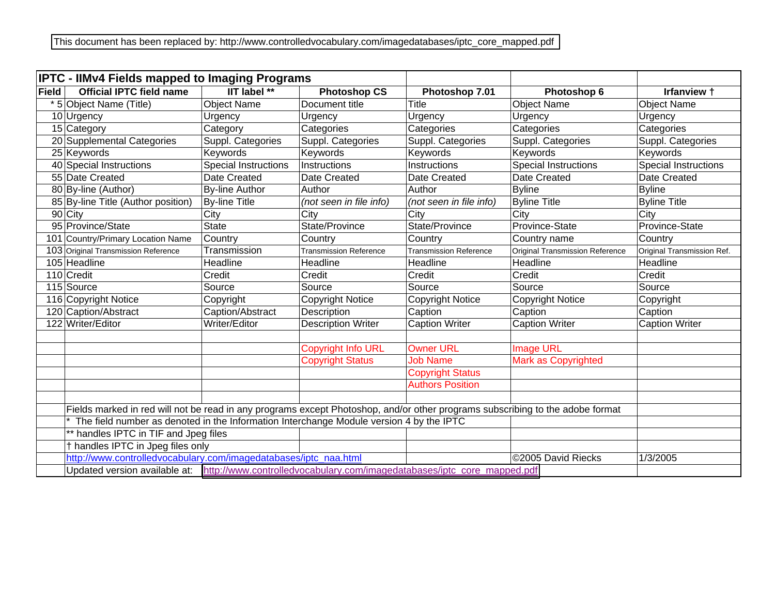|              | <b>IPTC - IIMv4 Fields mapped to Imaging Programs</b>                                                                         |                       |                               |                               |                                        |                             |  |  |  |  |
|--------------|-------------------------------------------------------------------------------------------------------------------------------|-----------------------|-------------------------------|-------------------------------|----------------------------------------|-----------------------------|--|--|--|--|
| <b>Field</b> | <b>Official IPTC field name</b>                                                                                               | <b>IIT label</b> **   | <b>Photoshop CS</b>           | Photoshop 7.01                | Photoshop 6                            | Irfanview +                 |  |  |  |  |
|              | * 5 Object Name (Title)                                                                                                       | <b>Object Name</b>    | Document title                | Title                         | <b>Object Name</b>                     | <b>Object Name</b>          |  |  |  |  |
|              | 10 Urgency                                                                                                                    | Urgency               | Urgency                       | Urgency                       | Urgency                                | Urgency                     |  |  |  |  |
|              | 15 Category                                                                                                                   | Category              | Categories                    | Categories                    | Categories                             | Categories                  |  |  |  |  |
|              | 20 Supplemental Categories                                                                                                    | Suppl. Categories     | Suppl. Categories             | Suppl. Categories             | Suppl. Categories                      | Suppl. Categories           |  |  |  |  |
|              | 25 Keywords                                                                                                                   | Keywords              | Keywords                      | Keywords                      | Keywords                               | Keywords                    |  |  |  |  |
|              | 40 Special Instructions                                                                                                       | Special Instructions  | Instructions                  | Instructions                  | <b>Special Instructions</b>            | <b>Special Instructions</b> |  |  |  |  |
|              | 55 Date Created                                                                                                               | Date Created          | Date Created                  | Date Created                  | Date Created                           | Date Created                |  |  |  |  |
|              | 80 By-line (Author)                                                                                                           | <b>By-line Author</b> | Author                        | Author                        | <b>Byline</b>                          | <b>Byline</b>               |  |  |  |  |
|              | 85 By-line Title (Author position)                                                                                            | <b>By-line Title</b>  | (not seen in file info)       | (not seen in file info)       | <b>Byline Title</b>                    | <b>Byline Title</b>         |  |  |  |  |
|              | 90 City                                                                                                                       | City                  | City                          | City                          | City                                   | City                        |  |  |  |  |
|              | 95 Province/State                                                                                                             | <b>State</b>          | State/Province                | State/Province                | Province-State                         | Province-State              |  |  |  |  |
|              | 101 Country/Primary Location Name                                                                                             | Country               | Country                       | Country                       | Country name                           | Country                     |  |  |  |  |
|              | 103 Original Transmission Reference                                                                                           | Transmission          | <b>Transmission Reference</b> | <b>Transmission Reference</b> | <b>Original Transmission Reference</b> | Original Transmission Ref.  |  |  |  |  |
|              | 105 Headline                                                                                                                  | Headline              | Headline                      | Headline                      | Headline                               | Headline                    |  |  |  |  |
|              | 110 Credit                                                                                                                    | Credit                | Credit                        | Credit                        | Credit                                 | Credit                      |  |  |  |  |
|              | 115 Source                                                                                                                    | Source                | Source                        | Source                        | Source                                 | Source                      |  |  |  |  |
|              | 116 Copyright Notice                                                                                                          | Copyright             | <b>Copyright Notice</b>       | <b>Copyright Notice</b>       | <b>Copyright Notice</b>                | Copyright                   |  |  |  |  |
|              | 120 Caption/Abstract                                                                                                          | Caption/Abstract      | Description                   | Caption                       | Caption                                | Caption                     |  |  |  |  |
|              | 122 Writer/Editor                                                                                                             | Writer/Editor         | <b>Description Writer</b>     | Caption Writer                | <b>Caption Writer</b>                  | <b>Caption Writer</b>       |  |  |  |  |
|              |                                                                                                                               |                       |                               |                               |                                        |                             |  |  |  |  |
|              |                                                                                                                               |                       | <b>Copyright Info URL</b>     | <b>Owner URL</b>              | <b>Image URL</b>                       |                             |  |  |  |  |
|              |                                                                                                                               |                       | <b>Copyright Status</b>       | <b>Job Name</b>               | <b>Mark as Copyrighted</b>             |                             |  |  |  |  |
|              |                                                                                                                               |                       |                               | <b>Copyright Status</b>       |                                        |                             |  |  |  |  |
|              |                                                                                                                               |                       |                               | <b>Authors Position</b>       |                                        |                             |  |  |  |  |
|              |                                                                                                                               |                       |                               |                               |                                        |                             |  |  |  |  |
|              | Fields marked in red will not be read in any programs except Photoshop, and/or other programs subscribing to the adobe format |                       |                               |                               |                                        |                             |  |  |  |  |
|              | The field number as denoted in the Information Interchange Module version 4 by the IPTC                                       |                       |                               |                               |                                        |                             |  |  |  |  |
|              | ** handles IPTC in TIF and Jpeg files                                                                                         |                       |                               |                               |                                        |                             |  |  |  |  |
|              | † handles IPTC in Jpeg files only                                                                                             |                       |                               |                               |                                        |                             |  |  |  |  |
|              | http://www.controlledvocabulary.com/imagedatabases/iptc_naa.html                                                              | 1/3/2005              |                               |                               |                                        |                             |  |  |  |  |
|              | Updated version available at: http://www.controlledvocabulary.com/imagedatabases/iptc_core_mapped.pdf                         |                       |                               |                               |                                        |                             |  |  |  |  |